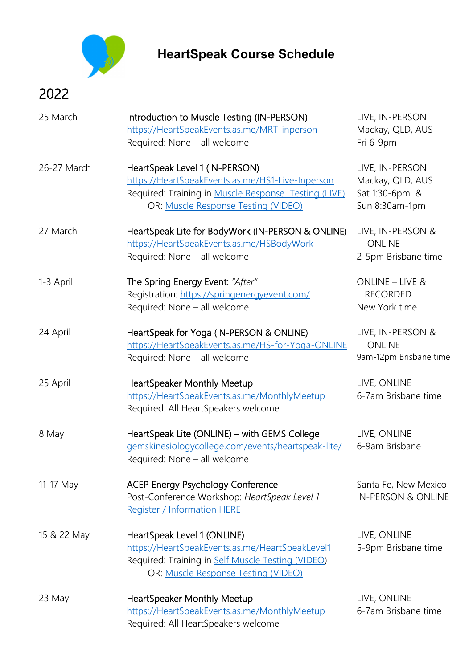

## **HeartSpeak Course Schedule**

## 2022

| 25 March    | Introduction to Muscle Testing (IN-PERSON)<br>https://HeartSpeakEvents.as.me/MRT-inperson<br>Required: None - all welcome                                                         | LIVE, IN-PERSON<br>Mackay, QLD, AUS<br>Fri 6-9pm                        |
|-------------|-----------------------------------------------------------------------------------------------------------------------------------------------------------------------------------|-------------------------------------------------------------------------|
| 26-27 March | HeartSpeak Level 1 (IN-PERSON)<br>https://HeartSpeakEvents.as.me/HS1-Live-Inperson<br>Required: Training in Muscle Response Testing (LIVE)<br>OR: Muscle Response Testing (VIDEO) | LIVE, IN-PERSON<br>Mackay, QLD, AUS<br>Sat 1:30-6pm &<br>Sun 8:30am-1pm |
| 27 March    | HeartSpeak Lite for BodyWork (IN-PERSON & ONLINE)<br>https://HeartSpeakEvents.as.me/HSBodyWork<br>Required: None - all welcome                                                    | LIVE, IN-PERSON &<br><b>ONLINE</b><br>2-5pm Brisbane time               |
| 1-3 April   | The Spring Energy Event: "After"<br>Registration: https://springenergyevent.com/<br>Required: None - all welcome                                                                  | ONLINE - LIVE &<br><b>RECORDED</b><br>New York time                     |
| 24 April    | HeartSpeak for Yoga (IN-PERSON & ONLINE)<br>https://HeartSpeakEvents.as.me/HS-for-Yoga-ONLINE<br>Required: None - all welcome                                                     | LIVE, IN-PERSON &<br><b>ONLINE</b><br>9am-12pm Brisbane time            |
| 25 April    | <b>HeartSpeaker Monthly Meetup</b><br>https://HeartSpeakEvents.as.me/MonthlyMeetup<br>Required: All HeartSpeakers welcome                                                         | LIVE, ONLINE<br>6-7am Brisbane time                                     |
| 8 May       | HeartSpeak Lite (ONLINE) - with GEMS College<br>gemskinesiologycollege.com/events/heartspeak-lite/<br>Required: None - all welcome                                                | LIVE, ONLINE<br>6-9am Brisbane                                          |
| 11-17 May   | <b>ACEP Energy Psychology Conference</b><br>Post-Conference Workshop: HeartSpeak Level 1<br><b>Register / Information HERE</b>                                                    | Santa Fe, New Mexico<br><b>IN-PERSON &amp; ONLINE</b>                   |
| 15 & 22 May | HeartSpeak Level 1 (ONLINE)<br>https://HeartSpeakEvents.as.me/HeartSpeakLevel1<br>Required: Training in Self Muscle Testing (VIDEO)<br>OR: Muscle Response Testing (VIDEO)        | LIVE, ONLINE<br>5-9pm Brisbane time                                     |
| 23 May      | <b>HeartSpeaker Monthly Meetup</b><br>https://HeartSpeakEvents.as.me/MonthlyMeetup<br>Required: All HeartSpeakers welcome                                                         | LIVE, ONLINE<br>6-7am Brisbane time                                     |